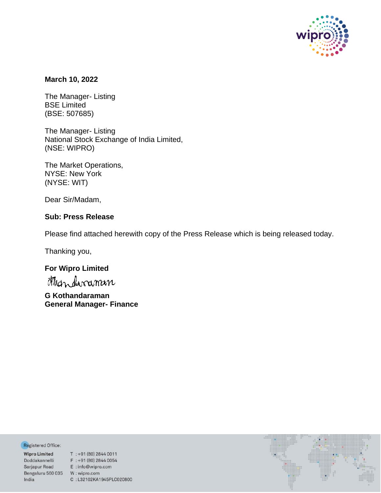

### **March 10, 2022**

The Manager- Listing BSE Limited (BSE: 507685)

The Manager- Listing National Stock Exchange of India Limited, (NSE: WIPRO)

The Market Operations, NYSE: New York (NYSE: WIT)

Dear Sir/Madam,

## **Sub: Press Release**

Please find attached herewith copy of the Press Release which is being released today.

Thanking you,

# **For Wipro Limited**

**G Kothandaraman General Manager- Finance**

Registered Office:

Bengaluru 560 035 W: wipro.com India

**Negistered Office:**<br> **Wipro Limited** T : +91 (80) 2844 0011<br>
Doddakannelli F : +91 (80) 2844 0054<br>
Sarjapur Road E : info@wipro.com C:L32102KA1945PLC020800

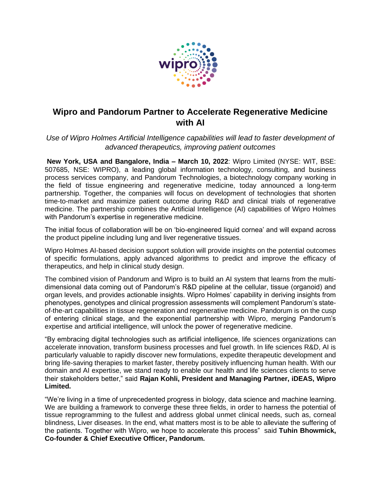

# **Wipro and Pandorum Partner to Accelerate Regenerative Medicine with AI**

Use of Wipro Holmes Artificial Intelligence capabilities will lead to faster development of *advanced therapeutics, improving patient outcomes*

**New York, USA and Bangalore, India – March 10, 2022**: Wipro Limited (NYSE: WIT, BSE: 507685, NSE: WIPRO), a leading global information technology, consulting, and business process services company, and Pandorum Technologies, a biotechnology company working in the field of tissue engineering and regenerative medicine, today announced a long-term partnership. Together, the companies will focus on development of technologies that shorten time-to-market and maximize patient outcome during R&D and clinical trials of regenerative medicine. The partnership combines the Artificial Intelligence (AI) capabilities of Wipro Holmes with Pandorum's expertise in regenerative medicine.

The initial focus of collaboration will be on 'bio-engineered liquid cornea' and will expand across the product pipeline including lung and liver regenerative tissues.

Wipro Holmes AI-based decision support solution will provide insights on the potential outcomes of specific formulations, apply advanced algorithms to predict and improve the efficacy of therapeutics, and help in clinical study design.

The combined vision of Pandorum and Wipro is to build an AI system that learns from the multidimensional data coming out of Pandorum's R&D pipeline at the cellular, tissue (organoid) and organ levels, and provides actionable insights. Wipro Holmes' capability in deriving insights from phenotypes, genotypes and clinical progression assessments will complement Pandorum's stateof-the-art capabilities in tissue regeneration and regenerative medicine. Pandorum is on the cusp of entering clinical stage, and the exponential partnership with Wipro, merging Pandorum's expertise and artificial intelligence, will unlock the power of regenerative medicine.

"By embracing digital technologies such as artificial intelligence, life sciences organizations can accelerate innovation, transform business processes and fuel growth. In life sciences R&D, AI is particularly valuable to rapidly discover new formulations, expedite therapeutic development and bring life-saving therapies to market faster, thereby positively influencing human health. With our domain and AI expertise, we stand ready to enable our health and life sciences clients to serve their stakeholders better," said **Rajan Kohli, President and Managing Partner, iDEAS, Wipro Limited.**

"We're living in a time of unprecedented progress in biology, data science and machine learning. We are building a framework to converge these three fields, in order to harness the potential of tissue reprogramming to the fullest and address global unmet clinical needs, such as, corneal blindness, Liver diseases. In the end, what matters most is to be able to alleviate the suffering of the patients. Together with Wipro, we hope to accelerate this process" said **Tuhin Bhowmick, Co-founder & Chief Executive Officer, Pandorum.**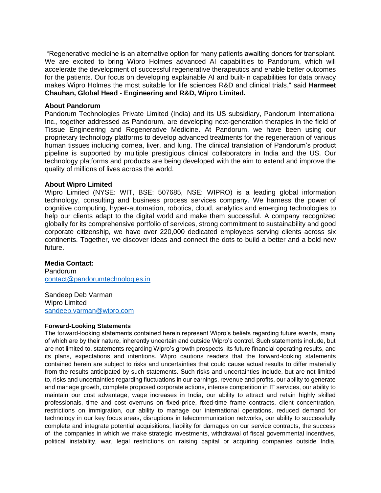"Regenerative medicine is an alternative option for many patients awaiting donors for transplant. We are excited to bring Wipro Holmes advanced AI capabilities to Pandorum, which will accelerate the development of successful regenerative therapeutics and enable better outcomes for the patients. Our focus on developing explainable AI and built-in capabilities for data privacy makes Wipro Holmes the most suitable for life sciences R&D and clinical trials," said **Harmeet Chauhan, Global Head - Engineering and R&D, Wipro Limited.**

#### **About Pandorum**

Pandorum Technologies Private Limited (India) and its US subsidiary, Pandorum International Inc., together addressed as Pandorum, are developing next-generation therapies in the field of Tissue Engineering and Regenerative Medicine. At Pandorum, we have been using our proprietary technology platforms to develop advanced treatments for the regeneration of various human tissues including cornea, liver, and lung. The clinical translation of Pandorum's product pipeline is supported by multiple prestigious clinical collaborators in India and the US. Our technology platforms and products are being developed with the aim to extend and improve the quality of millions of lives across the world.

#### **About Wipro Limited**

Wipro Limited (NYSE: WIT, BSE: 507685, NSE: WIPRO) is a leading global information technology, consulting and business process services company. We harness the power of cognitive computing, hyper-automation, robotics, cloud, analytics and emerging technologies to help our clients adapt to the digital world and make them successful. A company recognized globally for its comprehensive portfolio of services, strong commitment to sustainability and good corporate citizenship, we have over 220,000 dedicated employees serving clients across six continents. Together, we discover ideas and connect the dots to build a better and a bold new future.

#### **Media Contact:**

Pandorum [contact@pandorumtechnologies.in](mailto:contact@pandorumtechnologies.in)

Sandeep Deb Varman Wipro Limited [sandeep.varman@wipro.com](mailto:sandeep.varman@wipro.com)

#### **Forward-Looking Statements**

The forward-looking statements contained herein represent Wipro's beliefs regarding future events, many of which are by their nature, inherently uncertain and outside Wipro's control. Such statements include, but are not limited to, statements regarding Wipro's growth prospects, its future financial operating results, and its plans, expectations and intentions. Wipro cautions readers that the forward-looking statements contained herein are subject to risks and uncertainties that could cause actual results to differ materially from the results anticipated by such statements. Such risks and uncertainties include, but are not limited to, risks and uncertainties regarding fluctuations in our earnings, revenue and profits, our ability to generate and manage growth, complete proposed corporate actions, intense competition in IT services, our ability to maintain our cost advantage, wage increases in India, our ability to attract and retain highly skilled professionals, time and cost overruns on fixed-price, fixed-time frame contracts, client concentration, restrictions on immigration, our ability to manage our international operations, reduced demand for technology in our key focus areas, disruptions in telecommunication networks, our ability to successfully complete and integrate potential acquisitions, liability for damages on our service contracts, the success of the companies in which we make strategic investments, withdrawal of fiscal governmental incentives, political instability, war, legal restrictions on raising capital or acquiring companies outside India,